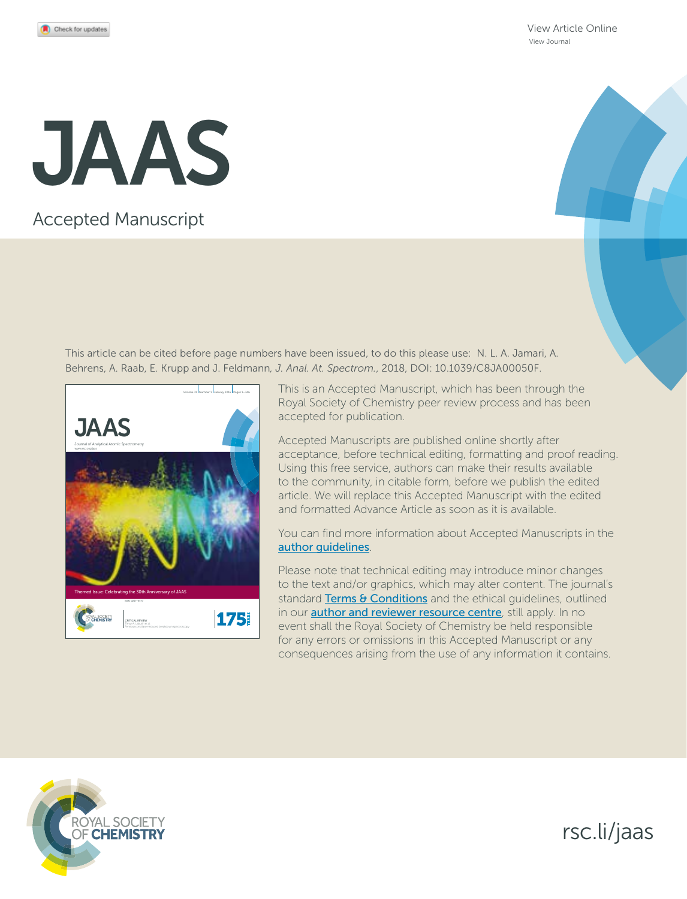[View Article Online](http://dx.doi.org/10.1039/c8ja00050f) [View Journal](http://pubs.rsc.org/en/journals/journal/JA)

# JAAS

## Accepted Manuscript

This article can be cited before page numbers have been issued, to do this please use: N. L. A. Jamari, A. Behrens, A. Raab, E. Krupp and J. Feldmann*, J. Anal. At. Spectrom.*, 2018, DOI: 10.1039/C8JA00050F.



This is an Accepted Manuscript, which has been through the Royal Society of Chemistry peer review process and has been accepted for publication.

Accepted Manuscripts are published online shortly after acceptance, before technical editing, formatting and proof reading. Using this free service, authors can make their results available to the community, in citable form, before we publish the edited article. We will replace this Accepted Manuscript with the edited and formatted Advance Article as soon as it is available.

You can find more information about Accepted Manuscripts in the [author guidelines](http://www.rsc.org/Publishing/Journals/guidelines/AuthorGuidelines/JournalPolicy/accepted_manuscripts.asp).

Please note that technical editing may introduce minor changes to the text and/or graphics, which may alter content. The journal's standard [Terms & Conditions](http://www.rsc.org/help/termsconditions.asp) and the ethical guidelines, outlined in our **[author and reviewer resource centre](http://www.rsc.org/publishing/journals/guidelines/)**, still apply. In no event shall the Royal Society of Chemistry be held responsible for any errors or omissions in this Accepted Manuscript or any consequences arising from the use of any information it contains.



rsc.li/jaas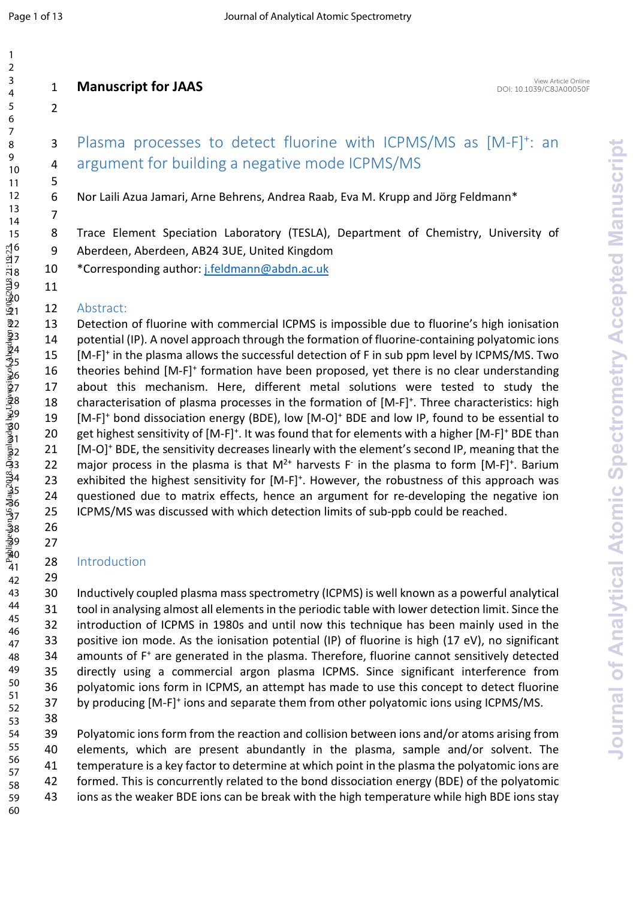### 3 Plasma processes to detect fluorine with ICPMS/MS as [M-F]<sup>+</sup>: an argument for building a negative mode ICPMS/MS

Nor Laili Azua Jamari, Arne Behrens, Andrea Raab, Eva M. Krupp and Jӧrg Feldmann\*

8 Trace Element Speciation Laboratory (TESLA), Department of Chemistry, University of Aberdeen, Aberdeen, AB24 3UE, United Kingdom

\*Corresponding author: [j.feldmann@abdn.ac.uk](mailto:j.feldmann@abdn.ac.uk)

Abstract:

 Detection of fluorine with commercial ICPMS is impossible due to fluorine's high ionisation potential (IP). A novel approach through the formation of fluorine-containing polyatomic ions 15 [M-F]<sup>+</sup> in the plasma allows the successful detection of F in sub ppm level by ICPMS/MS. Two 16 theories behind [M-F]<sup>+</sup> formation have been proposed, yet there is no clear understanding about this mechanism. Here, different metal solutions were tested to study the 18 characterisation of plasma processes in the formation of [M-F]<sup>+</sup>. Three characteristics: high 19 [M-F]<sup>+</sup> bond dissociation energy (BDE), low [M-O]<sup>+</sup> BDE and low IP, found to be essential to 20 get highest sensitivity of  $[M-F]^+$ . It was found that for elements with a higher  $[M-F]^+$  BDE than 21 [M-O]<sup>+</sup> BDE, the sensitivity decreases linearly with the element's second IP, meaning that the 22 major process in the plasma is that  $M^{2+}$  harvests F in the plasma to form  $[M-F]^+$ . Barium 23 exhibited the highest sensitivity for [M-F]<sup>+</sup>. However, the robustness of this approach was questioned due to matrix effects, hence an argument for re-developing the negative ion ICPMS/MS was discussed with which detection limits of sub-ppb could be reached. **14**<br> **24**<br> **24**<br> **24**<br> **24**<br> **24**<br> **24**<br> **24**<br> **24**<br> **24**<br> **24**<br> **24**<br> **24**<br> **24**<br> **24**<br> **24**<br> **24**<br> **24**<br> **24**<br> **24**<br> **24**<br> **24**<br> **24**<br> **24**<br> **24**<br> **24**<br> **24**<br> **24**<br> **24**<br> **24**<br> **24**<br> **24**<br> **24**<br> **24**<br> **24**<br> **24**<br> **24**<br>

#### Introduction

 Inductively coupled plasma mass spectrometry (ICPMS) is well known as a powerful analytical tool in analysing almost all elements in the periodic table with lower detection limit. Since the introduction of ICPMS in 1980s and until now this technique has been mainly used in the positive ion mode. As the ionisation potential (IP) of fluorine is high (17 eV), no significant 34 amounts of F<sup>+</sup> are generated in the plasma. Therefore, fluorine cannot sensitively detected directly using a commercial argon plasma ICPMS. Since significant interference from polyatomic ions form in ICPMS, an attempt has made to use this concept to detect fluorine 37 by producing [M-F]<sup>+</sup> ions and separate them from other polyatomic ions using ICPMS/MS. 

 Polyatomic ions form from the reaction and collision between ions and/or atoms arising from elements, which are present abundantly in the plasma, sample and/or solvent. The temperature is a key factor to determine at which point in the plasma the polyatomic ions are formed. This is concurrently related to the bond dissociation energy (BDE) of the polyatomic ions as the weaker BDE ions can be break with the high temperature while high BDE ions stay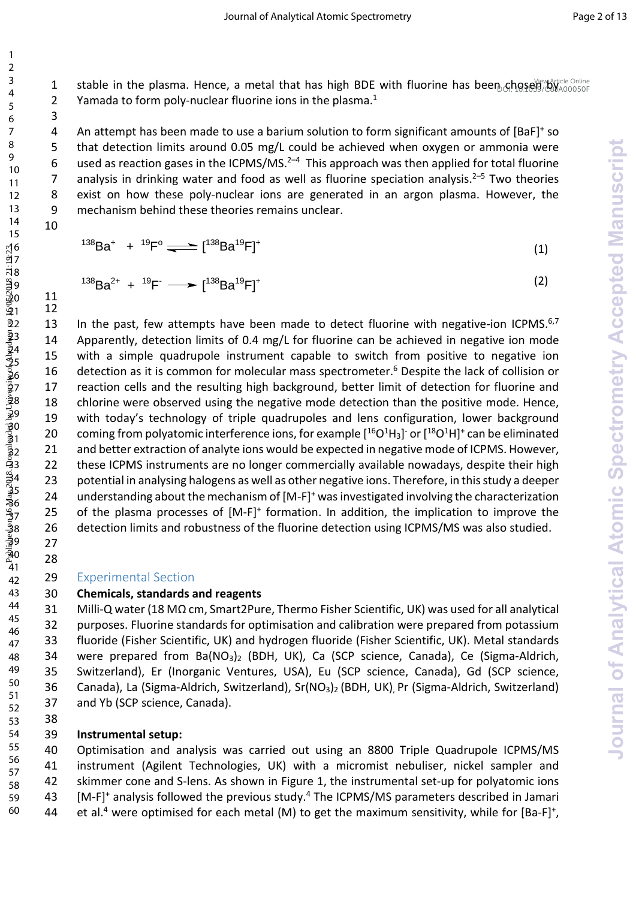1 stable in the plasma. Hence, a metal that has high BDE with fluorine has been choses  $\frac{N_{\text{e}}}{N_{\text{A00050F}}}$ 2 Yamada to form poly-nuclear fluorine ions in the plasma.<sup>1</sup>

4 An attempt has been made to use a barium solution to form significant amounts of [BaF]<sup>+</sup> so that detection limits around 0.05 mg/L could be achieved when oxygen or ammonia were 6 used as reaction gases in the ICPMS/MS.<sup>2-4</sup> This approach was then applied for total fluorine 7 analysis in drinking water and food as well as fluorine speciation analysis.<sup>2–5</sup> Two theories 8 exist on how these poly-nuclear ions are generated in an argon plasma. However, the 9 mechanism behind these theories remains unclear.

$$
10 \\
$$

 

 $^{138}$ Ba<sup>+</sup> +  $^{19}$ F<sup>o</sup>  $\rightleftharpoons$  [<sup>138</sup>Ba<sup>19</sup>F]<sup>+</sup> (1)

$$
^{138}Ba^{2+} + ^{19}F^- \longrightarrow [^{138}Ba^{19}F]^+
$$
 (2)

13 In the past, few attempts have been made to detect fluorine with negative-ion ICPMS. $6,7$ 14 Apparently, detection limits of 0.4 mg/L for fluorine can be achieved in negative ion mode with a simple quadrupole instrument capable to switch from positive to negative ion 16 detection as it is common for molecular mass spectrometer.<sup>6</sup> Despite the lack of collision or reaction cells and the resulting high background, better limit of detection for fluorine and chlorine were observed using the negative mode detection than the positive mode. Hence, with today's technology of triple quadrupoles and lens configuration, lower background 20 coming from polyatomic interference ions, for example  $[{}^{16}O^1H_3]$  or  $[{}^{18}O^1H]$ <sup>+</sup> can be eliminated 21 and better extraction of analyte ions would be expected in negative mode of ICPMS. However, these ICPMS instruments are no longer commercially available nowadays, despite their high potential in analysing halogens as well as other negative ions. Therefore, in this study a deeper 24 understanding about the mechanism of [M-F]<sup>+</sup> was investigated involving the characterization 25 of the plasma processes of  $[M-F]^+$  formation. In addition, the implication to improve the detection limits and robustness of the fluorine detection using ICPMS/MS was also studied. 1 stable in the plasma. Hence, a metri bat has high BDS with fluorine has been, choosing if stable in the plasma.<br>
2 showndards to form poly-nuclear fluorine towards in the plasma.<br>
4 showndards to form poly-nuclear fluor

Experimental Section

#### **Chemicals, standards and reagents**

 Milli-Q water (18 MΩ cm, Smart2Pure, Thermo Fisher Scientific, UK) was used for all analytical purposes. Fluorine standards for optimisation and calibration were prepared from potassium fluoride (Fisher Scientific, UK) and hydrogen fluoride (Fisher Scientific, UK). Metal standards were prepared from Ba(NO3)2 (BDH, UK), Ca (SCP science, Canada), Ce (Sigma-Aldrich, Switzerland), Er (Inorganic Ventures, USA), Eu (SCP science, Canada), Gd (SCP science, Canada), La (Sigma-Aldrich, Switzerland), Sr(NO3)2 (BDH, UK), Pr (Sigma-Aldrich, Switzerland) and Yb (SCP science, Canada). 

#### 

#### **Instrumental setup:**

 Optimisation and analysis was carried out using an 8800 Triple Quadrupole ICPMS/MS instrument (Agilent Technologies, UK) with a micromist nebuliser, nickel sampler and skimmer cone and S-lens. As shown in Figure 1, the instrumental set-up for polyatomic ions 43 [M-F]<sup>+</sup> analysis followed the previous study.<sup>4</sup> The ICPMS/MS parameters described in Jamari 44 et al.<sup>4</sup> were optimised for each metal (M) to get the maximum sensitivity, while for [Ba-F]<sup>+</sup>,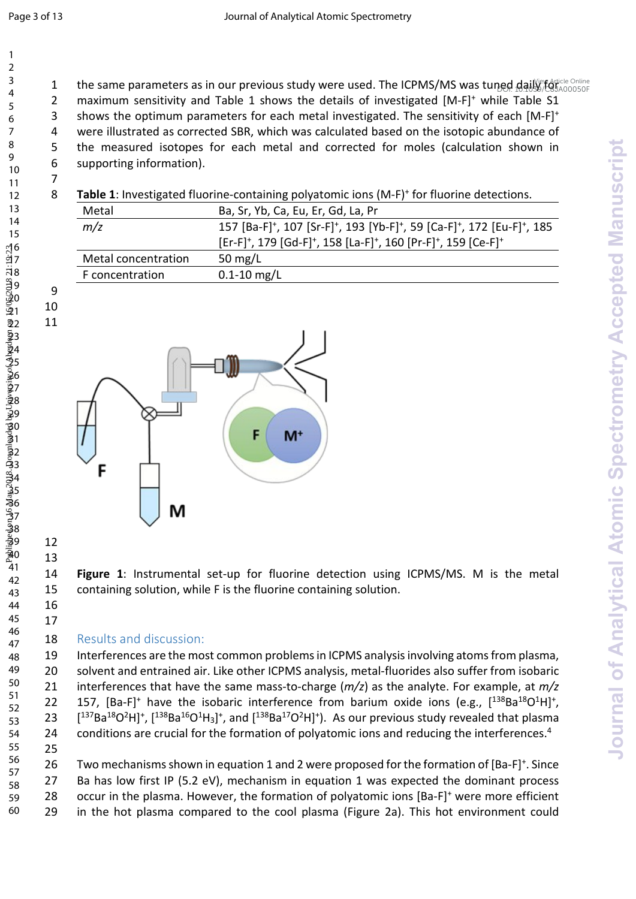1 the same parameters as in our previous study were used. The ICPMS/MS was tuned daily refaticle Online 2 maximum sensitivity and Table 1 shows the details of investigated [M-F]<sup>+</sup> while Table S1 shows the optimum parameters for each metal investigated. The sensitivity of each [M-F]<sup>+</sup> 4 were illustrated as corrected SBR, which was calculated based on the isotopic abundance of 5 the measured isotopes for each metal and corrected for moles (calculation shown in supporting information). 

| 8 |                     | Table 1: Investigated fluorine-containing polyatomic ions (M-F) <sup>+</sup> for fluorine detections.                                |
|---|---------------------|--------------------------------------------------------------------------------------------------------------------------------------|
|   | Metal               | Ba, Sr, Yb, Ca, Eu, Er, Gd, La, Pr                                                                                                   |
|   | m/z                 | 157 [Ba-F] <sup>+</sup> , 107 [Sr-F] <sup>+</sup> , 193 [Yb-F] <sup>+</sup> , 59 [Ca-F] <sup>+</sup> , 172 [Eu-F] <sup>+</sup> , 185 |
|   |                     | [Er-F] <sup>+</sup> , 179 [Gd-F] <sup>+</sup> , 158 [La-F] <sup>+</sup> , 160 [Pr-F] <sup>+</sup> , 159 [Ce-F] <sup>+</sup>          |
|   | Metal concentration | 50 mg/L                                                                                                                              |
|   | F concentration     | $0.1 - 10$ mg/L                                                                                                                      |



 

 

 **Figure 1**: Instrumental set-up for fluorine detection using ICPMS/MS. M is the metal containing solution, while F is the fluorine containing solution.

#### 18 Results and discussion:

 Interferences are the most common problems in ICPMS analysis involving atoms from plasma, solvent and entrained air. Like other ICPMS analysis, metal-fluorides also suffer from isobaric interferences that have the same mass-to-charge (*m/z*) as the analyte. For example, at *m/z* 22 157, [Ba-F]<sup>+</sup> have the isobaric interference from barium oxide ions (e.g.,  $[^{138}Ba^{18}O^{1}H]^{+}$ , 23  $[$ <sup>137</sup>Ba<sup>18</sup>O<sup>2</sup>H]<sup>+</sup>, [<sup>138</sup>Ba<sup>16</sup>O<sup>1</sup>H<sub>3</sub>]<sup>+</sup>, and [<sup>138</sup>Ba<sup>17</sup>O<sup>2</sup>H]<sup>+</sup>). As our previous study revealed that plasma 24 conditions are crucial for the formation of polyatomic ions and reducing the interferences.<sup>4</sup> 

26 Two mechanisms shown in equation 1 and 2 were proposed for the formation of [Ba-F]<sup>+</sup>. Since Ba has low first IP (5.2 eV), mechanism in equation 1 was expected the dominant process  $\alpha$  occur in the plasma. However, the formation of polyatomic ions [Ba-F]<sup>+</sup> were more efficient in the hot plasma compared to the cool plasma (Figure 2a). This hot environment could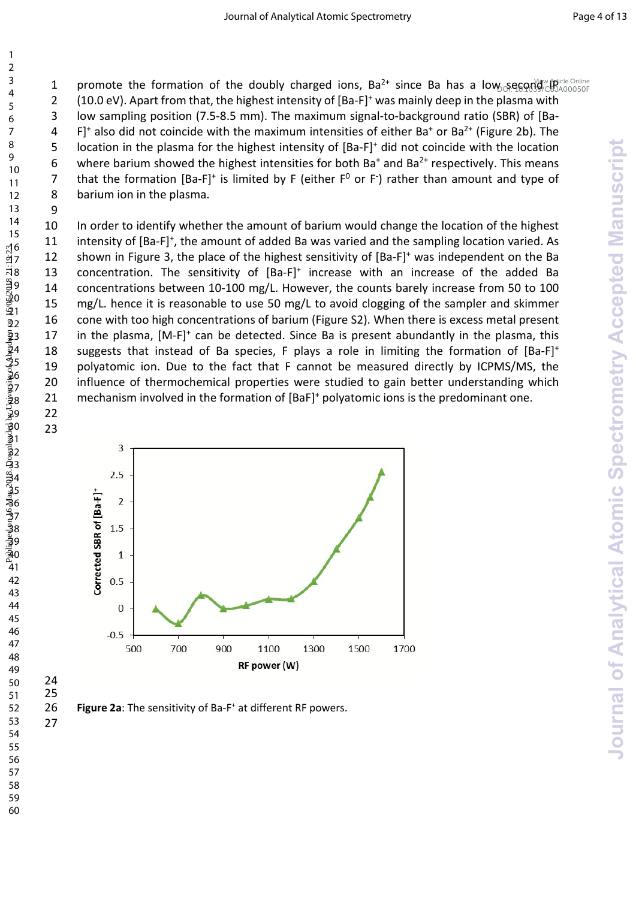1 promote the formation of the doubly charged ions,  $Ba^{2+}$  since Ba has a low second  $\frac{Na}{2}$ 

(10.0 eV). Apart from that, the highest intensity of  $[Ba-F]^+$  was mainly deep in the plasma with low sampling position (7.5-8.5 mm). The maximum signal-to-background ratio (SBR) of [Ba-

4 F]<sup>+</sup> also did not coincide with the maximum intensities of either Ba<sup>+</sup> or Ba<sup>2+</sup> (Figure 2b). The 5 location in the plasma for the highest intensity of  $[Ba-F]^+$  did not coincide with the location

6 where barium showed the highest intensities for both Ba<sup>+</sup> and Ba<sup>2+</sup> respectively. This means 7 that the formation  $[Ba-F]^+$  is limited by F (either  $F^0$  or F) rather than amount and type of 8 barium ion in the plasma.

 In order to identify whether the amount of barium would change the location of the highest intensity of [Ba-F]<sup>+</sup> , the amount of added Ba was varied and the sampling location varied. As 12 shown in Figure 3, the place of the highest sensitivity of  $[Ba-F]^+$  was independent on the Ba 13 concentration. The sensitivity of  $[Ba-F]^+$  increase with an increase of the added Ba concentrations between 10-100 mg/L. However, the counts barely increase from 50 to 100 15 mg/L. hence it is reasonable to use 50 mg/L to avoid clogging of the sampler and skimmer cone with too high concentrations of barium (Figure S2). When there is excess metal present 17 in the plasma,  $[M-F]^+$  can be detected. Since Ba is present abundantly in the plasma, this 18 suggests that instead of Ba species, F plays a role in limiting the formation of  $[Ba-F]^+$  polyatomic ion. Due to the fact that F cannot be measured directly by ICPMS/MS, the 20 influence of thermochemical properties were studied to gain better understanding which 21 mechanism involved in the formation of [BaF]<sup>+</sup> polyatomic ions is the predominant one. 1 promote the formulan (in the doubly charged one, Bail since is his a bus, seeparable the formulan proportion of the doubly detected by the space of the state is the state of the state of the state is the state of the st



26 **Figure 2a**: The sensitivity of Ba-F<sup>+</sup> at different RF powers.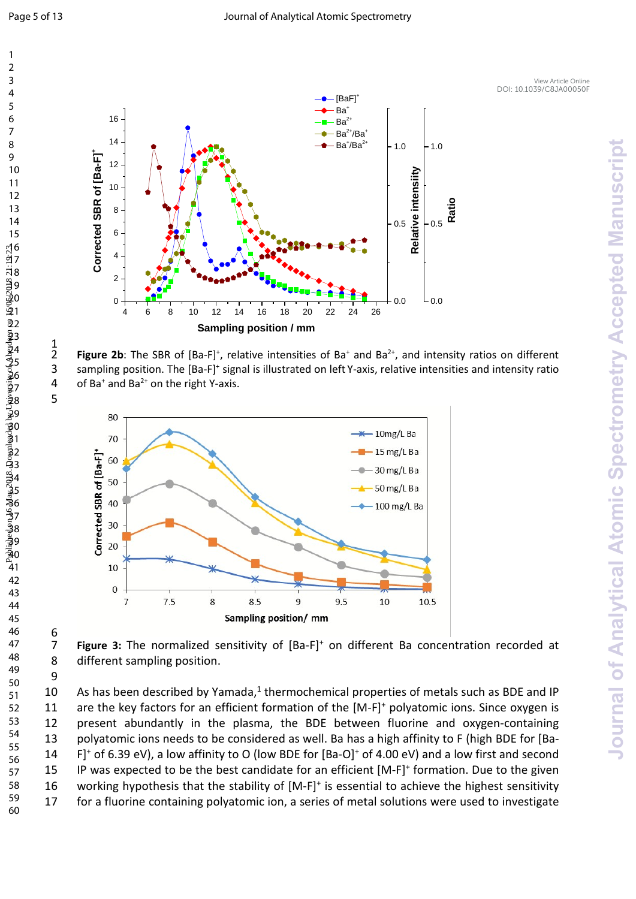$\frac{1}{2}$ 

6<br>7



2 **Figure 2b**: The SBR of  $[Ba-F]^+$ , relative intensities of  $Ba^+$  and  $Ba^{2+}$ , and intensity ratios on different 3 sampling position. The [Ba-F]<sup>+</sup> signal is illustrated on left Y-axis, relative intensities and intensity ratio 4 of Ba<sup>+</sup> and Ba<sup>2+</sup> on the right Y-axis.



7 Figure 3: The normalized sensitivity of [Ba-F]<sup>+</sup> on different Ba concentration recorded at different sampling position.

10 As has been described by Yamada, thermochemical properties of metals such as BDE and IP 11 are the key factors for an efficient formation of the [M-F]<sup>+</sup> polyatomic ions. Since oxygen is present abundantly in the plasma, the BDE between fluorine and oxygen-containing polyatomic ions needs to be considered as well. Ba has a high affinity to F (high BDE for [Ba-14 F<sup>1</sup> of 6.39 eV), a low affinity to O (low BDE for [Ba-O]<sup>+</sup> of 4.00 eV) and a low first and second 15 IP was expected to be the best candidate for an efficient  $[M-F]^+$  formation. Due to the given 16 working hypothesis that the stability of [M-F]<sup>+</sup> is essential to achieve the highest sensitivity for a fluorine containing polyatomic ion, a series of metal solutions were used to investigate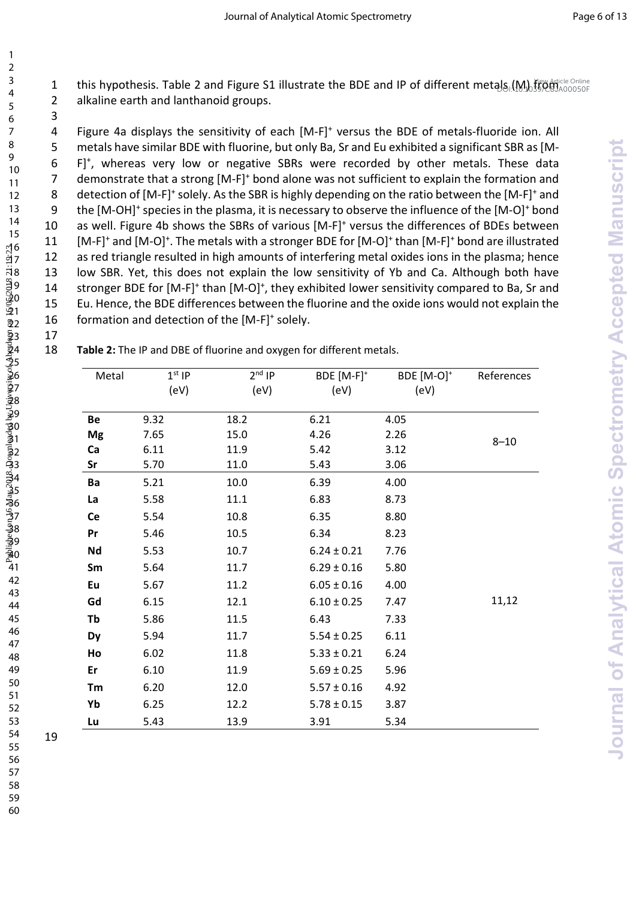1 this hypothesis. Table 2 and Figure S1 illustrate the BDE and IP of different metals (M) from the Online 2 alkaline earth and lanthanoid groups.

| 18 | Table 2: The IP and DBE of fluorine and oxygen for different metals. |
|----|----------------------------------------------------------------------|
|----|----------------------------------------------------------------------|

| Figure 4a displays the sensitivity of each [M-F] <sup>+</sup> versus the BDE of metals-fluoride ion. All<br>4<br>metals have similar BDE with fluorine, but only Ba, Sr and Eu exhibited a significant SBR as [M-<br>5 |          |                                                           |                                                                      |                        |                                                                                                                                                |  |
|------------------------------------------------------------------------------------------------------------------------------------------------------------------------------------------------------------------------|----------|-----------------------------------------------------------|----------------------------------------------------------------------|------------------------|------------------------------------------------------------------------------------------------------------------------------------------------|--|
|                                                                                                                                                                                                                        |          |                                                           |                                                                      |                        | F] <sup>+</sup> , whereas very low or negative SBRs were recorded by other metals. These data                                                  |  |
|                                                                                                                                                                                                                        |          |                                                           |                                                                      |                        | demonstrate that a strong [M-F] <sup>+</sup> bond alone was not sufficient to explain the formation and                                        |  |
|                                                                                                                                                                                                                        |          |                                                           |                                                                      |                        | detection of [M-F] <sup>+</sup> solely. As the SBR is highly depending on the ratio between the [M-F] <sup>+</sup> and                         |  |
|                                                                                                                                                                                                                        |          |                                                           |                                                                      |                        | the [M-OH] <sup>+</sup> species in the plasma, it is necessary to observe the influence of the [M-O] <sup>+</sup> bond                         |  |
|                                                                                                                                                                                                                        |          |                                                           |                                                                      |                        | as well. Figure 4b shows the SBRs of various [M-F] <sup>+</sup> versus the differences of BDEs between                                         |  |
|                                                                                                                                                                                                                        |          |                                                           |                                                                      |                        | [M-F] <sup>+</sup> and [M-O] <sup>+</sup> . The metals with a stronger BDE for [M-O] <sup>+</sup> than [M-F] <sup>+</sup> bond are illustrated |  |
|                                                                                                                                                                                                                        |          |                                                           |                                                                      |                        | as red triangle resulted in high amounts of interfering metal oxides ions in the plasma; hence                                                 |  |
|                                                                                                                                                                                                                        |          |                                                           |                                                                      |                        | low SBR. Yet, this does not explain the low sensitivity of Yb and Ca. Although both have                                                       |  |
|                                                                                                                                                                                                                        |          |                                                           |                                                                      |                        | stronger BDE for [M-F] <sup>+</sup> than [M-O] <sup>+</sup> , they exhibited lower sensitivity compared to Ba, Sr and                          |  |
|                                                                                                                                                                                                                        |          |                                                           |                                                                      |                        | Eu. Hence, the BDE differences between the fluorine and the oxide ions would not explain the                                                   |  |
|                                                                                                                                                                                                                        |          | formation and detection of the [M-F] <sup>+</sup> solely. |                                                                      |                        |                                                                                                                                                |  |
|                                                                                                                                                                                                                        |          |                                                           | Table 2: The IP and DBE of fluorine and oxygen for different metals. |                        |                                                                                                                                                |  |
|                                                                                                                                                                                                                        |          |                                                           |                                                                      |                        |                                                                                                                                                |  |
| Metal                                                                                                                                                                                                                  | $1st$ IP | $2nd$ IP                                                  | BDE [M-F] <sup>+</sup>                                               | BDE [M-O] <sup>+</sup> | References                                                                                                                                     |  |
|                                                                                                                                                                                                                        | (eV)     | (eV)                                                      | (eV)                                                                 | (eV)                   |                                                                                                                                                |  |
| Be                                                                                                                                                                                                                     | 9.32     | 18.2                                                      | 6.21                                                                 | 4.05                   |                                                                                                                                                |  |
| <b>Mg</b>                                                                                                                                                                                                              | 7.65     | 15.0                                                      | 4.26                                                                 | 2.26                   | $8 - 10$                                                                                                                                       |  |
| Ca                                                                                                                                                                                                                     | 6.11     | 11.9                                                      | 5.42                                                                 | 3.12                   |                                                                                                                                                |  |
| Sr                                                                                                                                                                                                                     | 5.70     | 11.0                                                      | 5.43                                                                 | 3.06                   |                                                                                                                                                |  |
|                                                                                                                                                                                                                        | 5.21     | 10.0                                                      | 6.39                                                                 | 4.00                   |                                                                                                                                                |  |
| Ba                                                                                                                                                                                                                     |          |                                                           |                                                                      | 8.73                   |                                                                                                                                                |  |
| La                                                                                                                                                                                                                     | 5.58     | 11.1                                                      | 6.83                                                                 |                        |                                                                                                                                                |  |
| Ce                                                                                                                                                                                                                     | 5.54     | 10.8                                                      | 6.35                                                                 | 8.80                   |                                                                                                                                                |  |
| Pr                                                                                                                                                                                                                     | 5.46     | 10.5                                                      | 6.34                                                                 | 8.23                   |                                                                                                                                                |  |
| Nd                                                                                                                                                                                                                     | 5.53     | 10.7                                                      | $6.24 \pm 0.21$                                                      | 7.76                   |                                                                                                                                                |  |
| Sm                                                                                                                                                                                                                     | 5.64     | 11.7                                                      | $6.29 \pm 0.16$                                                      | 5.80                   |                                                                                                                                                |  |
| Eu                                                                                                                                                                                                                     | 5.67     | 11.2                                                      | $6.05 \pm 0.16$                                                      | 4.00                   |                                                                                                                                                |  |
| Gd                                                                                                                                                                                                                     | 6.15     | 12.1                                                      | $6.10 \pm 0.25$                                                      | 7.47                   | 11,12                                                                                                                                          |  |
| Tb                                                                                                                                                                                                                     | 5.86     | 11.5                                                      | 6.43                                                                 | 7.33                   |                                                                                                                                                |  |
| Dy                                                                                                                                                                                                                     | 5.94     | 11.7                                                      | $5.54 \pm 0.25$                                                      | 6.11                   |                                                                                                                                                |  |
| Ho                                                                                                                                                                                                                     | 6.02     | 11.8                                                      | $5.33 \pm 0.21$                                                      | 6.24                   |                                                                                                                                                |  |
| Er                                                                                                                                                                                                                     | 6.10     | 11.9                                                      | $5.69 \pm 0.25$                                                      | 5.96                   |                                                                                                                                                |  |
| Tm                                                                                                                                                                                                                     | 6.20     | 12.0                                                      | $5.57 \pm 0.16$                                                      | 4.92                   |                                                                                                                                                |  |
| Yb                                                                                                                                                                                                                     | 6.25     | 12.2                                                      | $5.78 \pm 0.15$                                                      | 3.87                   |                                                                                                                                                |  |

59 60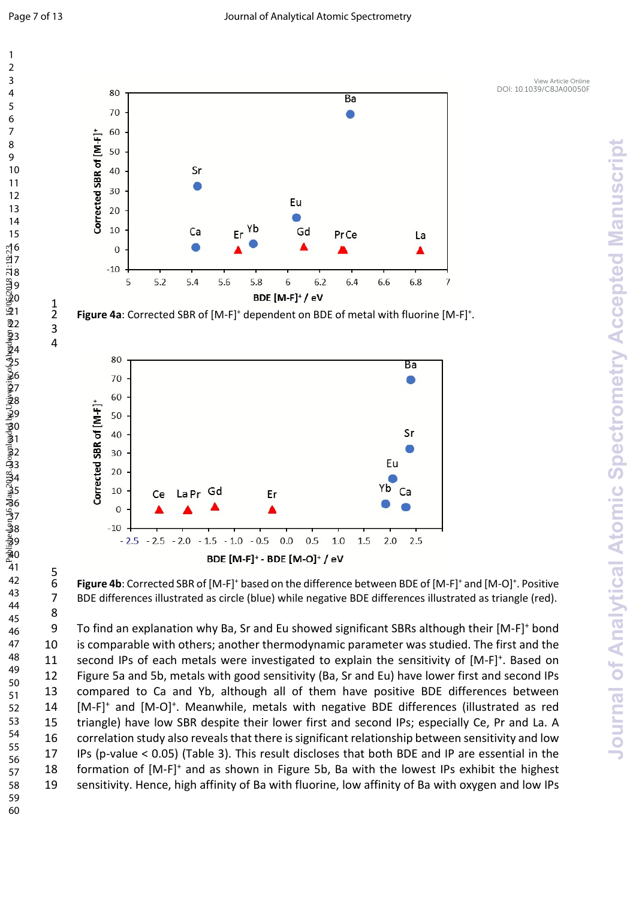$\frac{1}{2}$ 

 

 $\frac{5}{6}$ 



2 **Figure 4a**: Corrected SBR of [M-F]<sup>+</sup> dependent on BDE of metal with fluorine [M-F]<sup>+</sup>.



6 **Figure 4b**: Corrected SBR of [M-F]<sup>+</sup> based on the difference between BDE of [M-F]<sup>+</sup> and [M-O]<sup>+</sup>. Positive 7 BDE differences illustrated as circle (blue) while negative BDE differences illustrated as triangle (red).

9 To find an explanation why Ba, Sr and Eu showed significant SBRs although their [M-F]<sup>+</sup> bond is comparable with others; another thermodynamic parameter was studied. The first and the 11 second IPs of each metals were investigated to explain the sensitivity of [M-F]<sup>+</sup>. Based on Figure 5a and 5b, metals with good sensitivity (Ba, Sr and Eu) have lower first and second IPs compared to Ca and Yb, although all of them have positive BDE differences between 14 [M-F]<sup>+</sup> and [M-O]<sup>+</sup>. Meanwhile, metals with negative BDE differences (illustrated as red triangle) have low SBR despite their lower first and second IPs; especially Ce, Pr and La. A correlation study also reveals that there is significant relationship between sensitivity and low IPs (p-value < 0.05) (Table 3). This result discloses that both BDE and IP are essential in the 18 formation of [M-F]<sup>+</sup> and as shown in Figure 5b, Ba with the lowest IPs exhibit the highest sensitivity. Hence, high affinity of Ba with fluorine, low affinity of Ba with oxygen and low IPs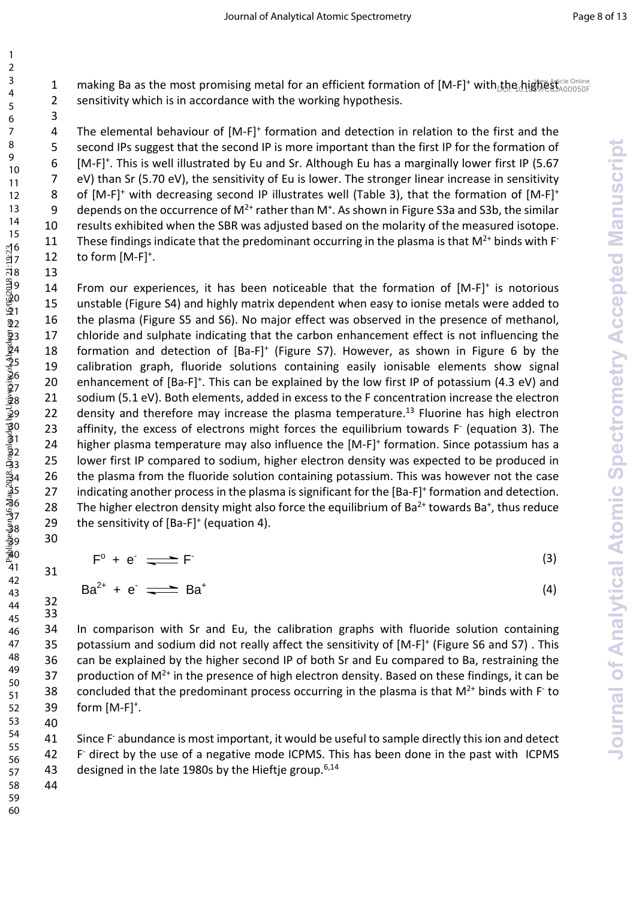1 making Ba as the most promising metal for an efficient formation of  $[M-F]^+$  with the highest annosop 2 sensitivity which is in accordance with the working hypothesis.

 4 The elemental behaviour of [M-F]<sup>+</sup> formation and detection in relation to the first and the 5 second IPs suggest that the second IP is more important than the first IP for the formation of 6 [M-F]<sup>+</sup>. This is well illustrated by Eu and Sr. Although Eu has a marginally lower first IP (5.67 eV) than Sr (5.70 eV), the sensitivity of Eu is lower. The stronger linear increase in sensitivity 8 of [M-F]<sup>+</sup> with decreasing second IP illustrates well (Table 3), that the formation of [M-F]<sup>+</sup> 9 depends on the occurrence of  $M^{2+}$  rather than M<sup>+</sup>. As shown in Figure S3a and S3b, the similar results exhibited when the SBR was adjusted based on the molarity of the measured isotope. These findings indicate that the predominant occurring in the plasma is that  $M^{2+}$  binds with F-12 to form  $[M-F]$ <sup>+</sup>. 

14 From our experiences, it has been noticeable that the formation of  $[M-F]^+$  is notorious unstable (Figure S4) and highly matrix dependent when easy to ionise metals were added to the plasma (Figure S5 and S6). No major effect was observed in the presence of methanol, chloride and sulphate indicating that the carbon enhancement effect is not influencing the 18 formation and detection of  $[Ba-F]^+$  (Figure S7). However, as shown in Figure 6 by the calibration graph, fluoride solutions containing easily ionisable elements show signal 20 enhancement of [Ba-F]<sup>+</sup>. This can be explained by the low first IP of potassium (4.3 eV) and sodium (5.1 eV). Both elements, added in excess to the F concentration increase the electron 22 density and therefore may increase the plasma temperature.<sup>13</sup> Fluorine has high electron 23 affinity, the excess of electrons might forces the equilibrium towards F<sup>-</sup> (equation 3). The 24 higher plasma temperature may also influence the [M-F]<sup>+</sup> formation. Since potassium has a lower first IP compared to sodium, higher electron density was expected to be produced in 26 the plasma from the fluoride solution containing potassium. This was however not the case 27 indicating another process in the plasma is significant for the [Ba-F]<sup>+</sup> formation and detection. 28 The higher electron density might also force the equilibrium of Ba<sup>2+</sup> towards Ba<sup>+</sup>, thus reduce 29 the sensitivity of  $[Ba-F]^+$  (equation 4). 1 making is as the most promising metal for an efficient formula of  $\frac{1}{2}$  and the controller of the select of the select of the select of the select of the select of the select of the select of the select of the selec

 $F^{\circ} + e^- \rightleftharpoons F$ (3)

$$
Ba^{2+} + e^- \rightleftharpoons Ba^+ \qquad \qquad Ba^+
$$

 In comparison with Sr and Eu, the calibration graphs with fluoride solution containing 35 potassium and sodium did not really affect the sensitivity of [M-F]<sup>+</sup> (Figure S6 and S7). This can be explained by the higher second IP of both Sr and Eu compared to Ba, restraining the 37 production of  $M^{2+}$  in the presence of high electron density. Based on these findings, it can be 38 concluded that the predominant process occurring in the plasma is that  $M^{2+}$  binds with F to  $form [M-F]^{+}$ .

41 Since F abundance is most important, it would be useful to sample directly this ion and detect 42 F- direct by the use of a negative mode ICPMS. This has been done in the past with ICPMS 43 designed in the late 1980s by the Hieftje group.<sup>6,14</sup>

   

 

(4)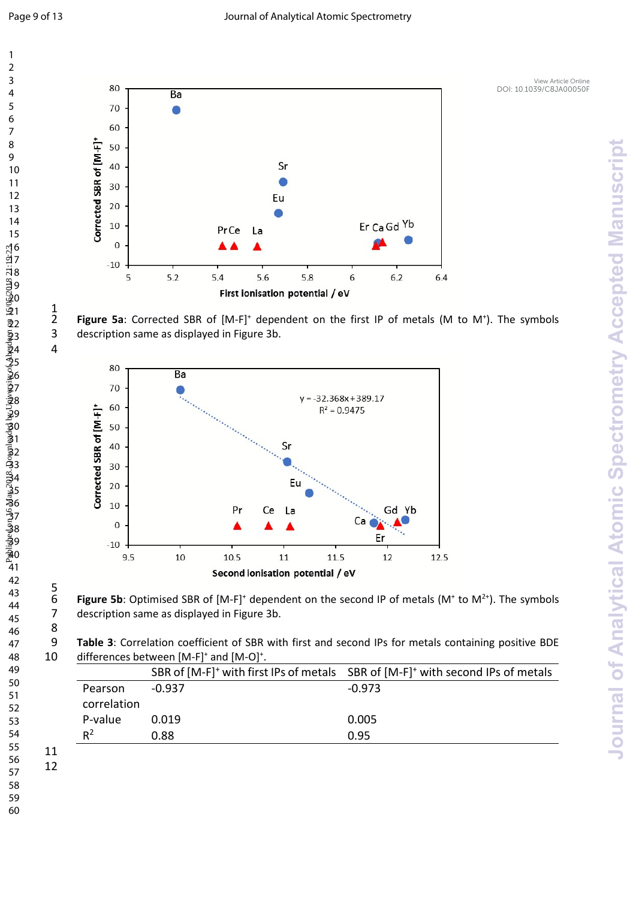$\frac{1}{2}$ 



2 Figure 5a: Corrected SBR of [M-F]<sup>+</sup> dependent on the first IP of metals (M to M<sup>+</sup>). The symbols 3 description same as displayed in Figure 3b.



6 **Figure 5b**: Optimised SBR of  $[M-F]^+$  dependent on the second IP of metals  $(M^+$  to  $M^{2+})$ . The symbols description same as displayed in Figure 3b.

**Table 3**: Correlation coefficient of SBR with first and second IPs for metals containing positive BDE 10 differences between  $[M-F]^+$  and  $[M-O]^+$ .

|             |        | SBR of [M-F] <sup>+</sup> with first IPs of metals SBR of [M-F] <sup>+</sup> with second IPs of metals |
|-------------|--------|--------------------------------------------------------------------------------------------------------|
| Pearson     | -0.937 | $-0.973$                                                                                               |
| correlation |        |                                                                                                        |
| P-value     | 0.019  | 0.005                                                                                                  |
| $R^2$       | 0.88   | 0.95                                                                                                   |
|             |        |                                                                                                        |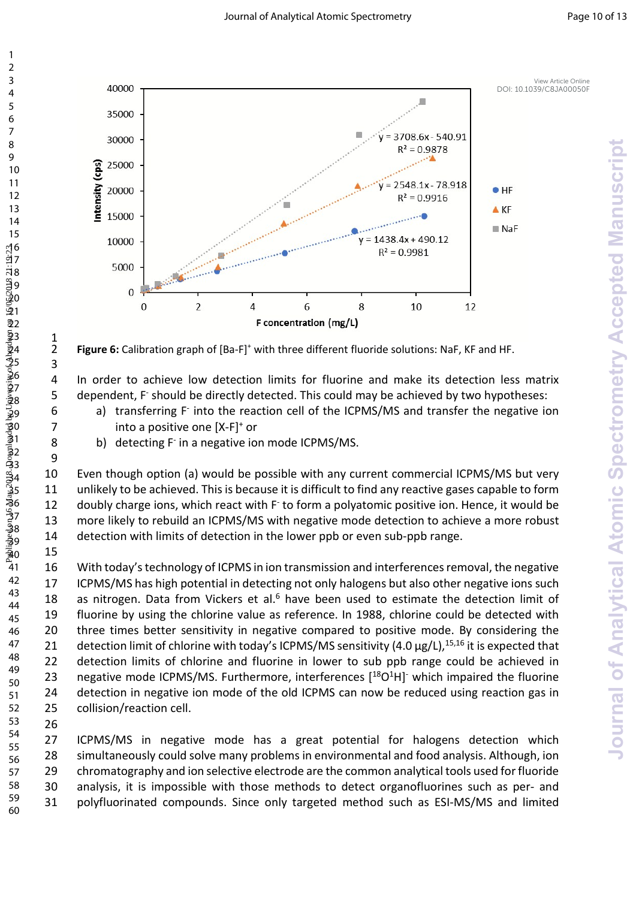

2 **Figure 6:** Calibration graph of [Ba-F]<sup>+</sup> with three different fluoride solutions: NaF, KF and HF.

4 In order to achieve low detection limits for fluorine and make its detection less matrix 5 dependent, F should be directly detected. This could may be achieved by two hypotheses:

- 6 a) transferring F into the reaction cell of the ICPMS/MS and transfer the negative ion 7 **into a positive one [X-F]**<sup>+</sup> or
- 8 b) detecting F in a negative ion mode ICPMS/MS.

 Even though option (a) would be possible with any current commercial ICPMS/MS but very unlikely to be achieved. This is because it is difficult to find any reactive gases capable to form 12 doubly charge ions, which react with F<sup>-</sup> to form a polyatomic positive ion. Hence, it would be more likely to rebuild an ICPMS/MS with negative mode detection to achieve a more robust detection with limits of detection in the lower ppb or even sub-ppb range.

 With today's technology of ICPMS in ion transmission and interferences removal, the negative ICPMS/MS has high potential in detecting not only halogens but also other negative ions such 18 as nitrogen. Data from Vickers et al. have been used to estimate the detection limit of fluorine by using the chlorine value as reference. In 1988, chlorine could be detected with three times better sensitivity in negative compared to positive mode. By considering the 21 detection limit of chlorine with today's ICPMS/MS sensitivity  $(4.0 \,\mu g/L)$ ,<sup>15,16</sup> it is expected that detection limits of chlorine and fluorine in lower to sub ppb range could be achieved in 23 negative mode ICPMS/MS. Furthermore, interferences  $[$ <sup>18</sup>O<sup>1</sup>H] which impaired the fluorine detection in negative ion mode of the old ICPMS can now be reduced using reaction gas in collision/reaction cell. 

   $\frac{1}{2}$ 

 ICPMS/MS in negative mode has a great potential for halogens detection which simultaneously could solve many problems in environmental and food analysis. Although, ion chromatography and ion selective electrode are the common analytical tools used for fluoride analysis, it is impossible with those methods to detect organofluorines such as per- and polyfluorinated compounds. Since only targeted method such as ESI-MS/MS and limited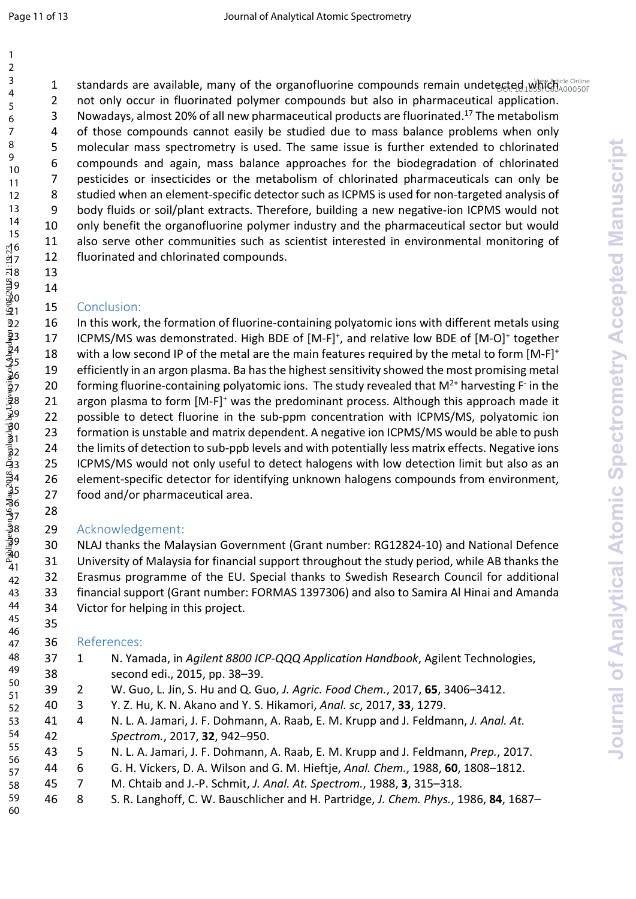1 standards are available, many of the organofluorine compounds remain undetected which caline 2 not only occur in fluorinated polymer compounds but also in pharmaceutical application. 3 Nowadays, almost 20% of all new pharmaceutical products are fluorinated.<sup>17</sup> The metabolism 4 of those compounds cannot easily be studied due to mass balance problems when only 5 molecular mass spectrometry is used. The same issue is further extended to chlorinated compounds and again, mass balance approaches for the biodegradation of chlorinated 7 pesticides or insecticides or the metabolism of chlorinated pharmaceuticals can only be 8 studied when an element-specific detector such as ICPMS is used for non-targeted analysis of body fluids or soil/plant extracts. Therefore, building a new negative-ion ICPMS would not only benefit the organofluorine polymer industry and the pharmaceutical sector but would also serve other communities such as scientist interested in environmental monitoring of fluorinated and chlorinated compounds.

#### Conclusion:

 

 In this work, the formation of fluorine-containing polyatomic ions with different metals using 17 ICPMS/MS was demonstrated. High BDE of [M-F]<sup>+</sup>, and relative low BDE of [M-O]<sup>+</sup> together 18 with a low second IP of the metal are the main features required by the metal to form [M-F]<sup>+</sup> efficiently in an argon plasma. Ba has the highest sensitivity showed the most promising metal 20 forming fluorine-containing polyatomic ions. The study revealed that  $M^{2+}$  harvesting F in the 21 argon plasma to form [M-F]<sup>+</sup> was the predominant process. Although this approach made it 22 possible to detect fluorine in the sub-ppm concentration with ICPMS/MS, polyatomic ion formation is unstable and matrix dependent. A negative ion ICPMS/MS would be able to push the limits of detection to sub-ppb levels and with potentially less matrix effects. Negative ions ICPMS/MS would not only useful to detect halogens with low detection limit but also as an element-specific detector for identifying unknown halogens compounds from environment, food and/or pharmaceutical area. 1 a standard is are available, many of the argamethronic components central understands (a)  $\frac{1}{2}$  on only occur in fluoring defined to the components of the components of the components of the components of the compon

#### Acknowledgement:

 NLAJ thanks the Malaysian Government (Grant number: RG12824-10) and National Defence University of Malaysia for financial support throughout the study period, while AB thanks the Erasmus programme of the EU. Special thanks to Swedish Research Council for additional financial support (Grant number: FORMAS 1397306) and also to Samira Al Hinai and Amanda Victor for helping in this project.

#### References:

- 1 N. Yamada, in *Agilent 8800 ICP-QQQ Application Handbook*, Agilent Technologies, second edi., 2015, pp. 38–39.
- 2 W. Guo, L. Jin, S. Hu and Q. Guo, *J. Agric. Food Chem.*, 2017, **65**, 3406–3412.
	- 3 Y. Z. Hu, K. N. Akano and Y. S. Hikamori, *Anal. sc*, 2017, **33**, 1279.
- 4 N. L. A. Jamari, J. F. Dohmann, A. Raab, E. M. Krupp and J. Feldmann, *J. Anal. At. Spectrom.*, 2017, **32**, 942–950.
- 5 N. L. A. Jamari, J. F. Dohmann, A. Raab, E. M. Krupp and J. Feldmann, *Prep.*, 2017.
- 6 G. H. Vickers, D. A. Wilson and G. M. Hieftje, *Anal. Chem.*, 1988, **60**, 1808–1812.
- 7 M. Chtaib and J.-P. Schmit, *J. Anal. At. Spectrom.*, 1988, **3**, 315–318.
- 8 S. R. Langhoff, C. W. Bauschlicher and H. Partridge, *J. Chem. Phys.*, 1986, **84**, 1687–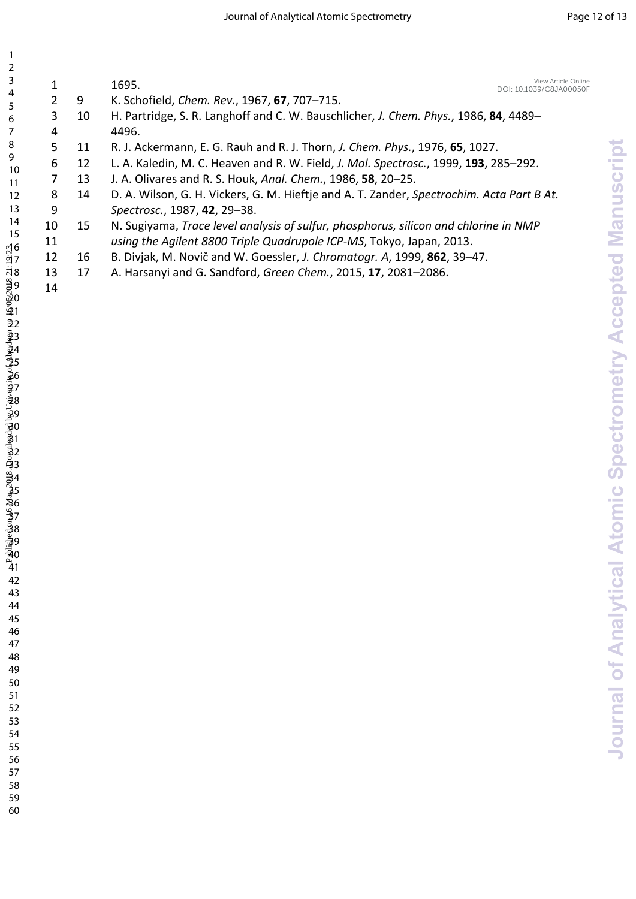| 1<br>$\overline{2}$                                                                                                                                                                                                           |                         |    |                                                                                           |                                       |
|-------------------------------------------------------------------------------------------------------------------------------------------------------------------------------------------------------------------------------|-------------------------|----|-------------------------------------------------------------------------------------------|---------------------------------------|
| 3                                                                                                                                                                                                                             | $\mathbf{1}$            |    | View Article Online<br>1695.                                                              |                                       |
| 4                                                                                                                                                                                                                             | $\overline{\mathbf{c}}$ | 9  | DOI: 10.1039/C8JA00050F<br>K. Schofield, Chem. Rev., 1967, 67, 707-715.                   |                                       |
| 5<br>6                                                                                                                                                                                                                        | 3                       | 10 | H. Partridge, S. R. Langhoff and C. W. Bauschlicher, J. Chem. Phys., 1986, 84, 4489-      |                                       |
| 7                                                                                                                                                                                                                             | 4                       |    | 4496.                                                                                     |                                       |
| 8                                                                                                                                                                                                                             | 5                       | 11 | R. J. Ackermann, E. G. Rauh and R. J. Thorn, J. Chem. Phys., 1976, 65, 1027.              |                                       |
| 9<br>10                                                                                                                                                                                                                       | 6                       | 12 | L. A. Kaledin, M. C. Heaven and R. W. Field, J. Mol. Spectrosc., 1999, 193, 285-292.      | cript                                 |
| 11                                                                                                                                                                                                                            | 7                       | 13 | J. A. Olivares and R. S. Houk, Anal. Chem., 1986, 58, 20-25.                              |                                       |
| 12                                                                                                                                                                                                                            | 8                       | 14 | D. A. Wilson, G. H. Vickers, G. M. Hieftje and A. T. Zander, Spectrochim. Acta Part B At. | Manus                                 |
| 13                                                                                                                                                                                                                            | 9                       |    | Spectrosc., 1987, 42, 29-38.                                                              |                                       |
| 14<br>15                                                                                                                                                                                                                      | 10                      | 15 | N. Sugiyama, Trace level analysis of sulfur, phosphorus, silicon and chlorine in NMP      |                                       |
|                                                                                                                                                                                                                               | 11                      |    | using the Agilent 8800 Triple Quadrupole ICP-MS, Tokyo, Japan, 2013.                      |                                       |
|                                                                                                                                                                                                                               | 12                      | 16 | B. Divjak, M. Novič and W. Goessler, J. Chromatogr. A, 1999, 862, 39-47.                  |                                       |
|                                                                                                                                                                                                                               | 13<br>14                | 17 | A. Harsanyi and G. Sandford, Green Chem., 2015, 17, 2081-2086.                            | Accepted                              |
|                                                                                                                                                                                                                               |                         |    |                                                                                           |                                       |
|                                                                                                                                                                                                                               |                         |    |                                                                                           |                                       |
|                                                                                                                                                                                                                               |                         |    |                                                                                           |                                       |
|                                                                                                                                                                                                                               |                         |    |                                                                                           |                                       |
|                                                                                                                                                                                                                               |                         |    |                                                                                           | Spectrometry                          |
|                                                                                                                                                                                                                               |                         |    |                                                                                           |                                       |
|                                                                                                                                                                                                                               |                         |    |                                                                                           |                                       |
|                                                                                                                                                                                                                               |                         |    |                                                                                           |                                       |
|                                                                                                                                                                                                                               |                         |    |                                                                                           |                                       |
|                                                                                                                                                                                                                               |                         |    |                                                                                           |                                       |
|                                                                                                                                                                                                                               |                         |    |                                                                                           |                                       |
|                                                                                                                                                                                                                               |                         |    |                                                                                           |                                       |
|                                                                                                                                                                                                                               |                         |    |                                                                                           | $\bullet$<br><b>Contract Contract</b> |
|                                                                                                                                                                                                                               |                         |    |                                                                                           |                                       |
|                                                                                                                                                                                                                               |                         |    |                                                                                           |                                       |
| 6 7 8 9 0 1 2 3 3 4 5 6 7 8 9 0 1 2 3 3 4 5 6 7 8 9 0 1 2 3 4 5 6 7 8 9 0 1 2 3 4 5 6 7 8 9 0 1 2 3 4 5 6 7 8 9 0 1 2 3 4 5 6 7 8 9 0 1 2 3 4 5 6 7 8 9 0 1 2 3 4 5 6 7 8 9 0 1 2 3 4 5 6 7 8 9 0 1 2 3 4 5 6 7 8 9 0 1 2 3 4 |                         |    |                                                                                           |                                       |
|                                                                                                                                                                                                                               |                         |    |                                                                                           | <b>Analytical Atom</b>                |
|                                                                                                                                                                                                                               |                         |    |                                                                                           |                                       |
|                                                                                                                                                                                                                               |                         |    |                                                                                           |                                       |
| 44<br>45<br>46                                                                                                                                                                                                                |                         |    |                                                                                           |                                       |
|                                                                                                                                                                                                                               |                         |    |                                                                                           |                                       |
| 47                                                                                                                                                                                                                            |                         |    |                                                                                           |                                       |
| 48<br>49                                                                                                                                                                                                                      |                         |    |                                                                                           | of                                    |
| 50                                                                                                                                                                                                                            |                         |    |                                                                                           |                                       |
| 51                                                                                                                                                                                                                            |                         |    |                                                                                           | Journal                               |
| 52<br>53<br>54                                                                                                                                                                                                                |                         |    |                                                                                           |                                       |
|                                                                                                                                                                                                                               |                         |    |                                                                                           |                                       |
| 55                                                                                                                                                                                                                            |                         |    |                                                                                           |                                       |
| $\epsilon$                                                                                                                                                                                                                    |                         |    |                                                                                           |                                       |